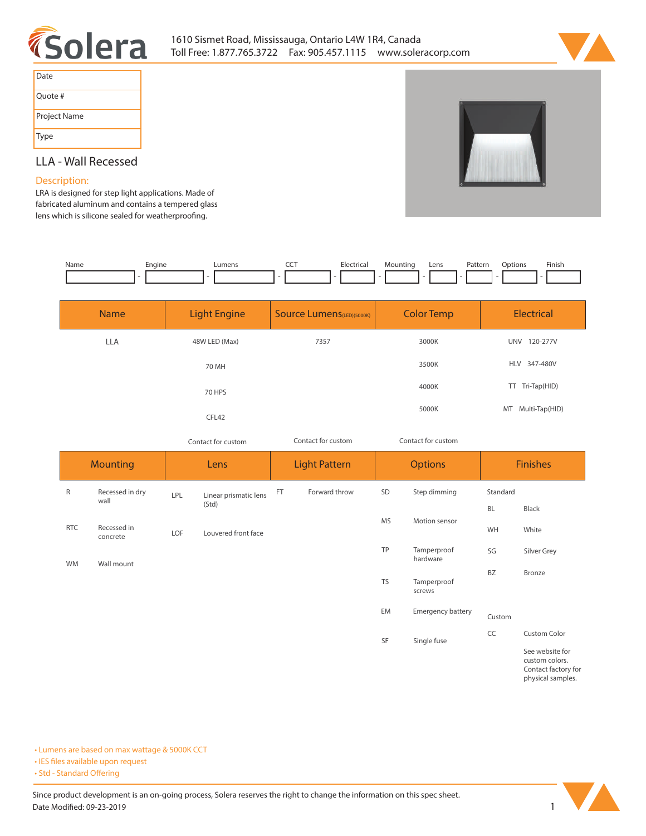



| Date         |
|--------------|
| Quote #      |
| Project Name |
| Type         |

# **LLA - Wall Recessed**

## **Description:**

**LRA is designed for step light applications. Made of fabricated aluminum and contains a tempered glass**  lens which is silicone sealed for weatherproofing.

| Name | Enaine | umens | ---<br>$ -$ | --<br>Electrical<br>$\sim$ $\sim$ | untinc<br>Mo | Lens | Pattern<br>. | :Jotion | Finish<br>the contract of the contract of the |
|------|--------|-------|-------------|-----------------------------------|--------------|------|--------------|---------|-----------------------------------------------|
|      |        |       |             |                                   |              |      |              |         |                                               |

| <b>Name</b> | <b>Light Engine</b> | <b>Source Lumens</b> (LED)(5000K) | <b>Color Temp</b> |                     |
|-------------|---------------------|-----------------------------------|-------------------|---------------------|
| <b>LLA</b>  | 48W LED (Max)       | 7357                              | 3000K             | UNV<br>120-277V     |
|             | 70 MH               |                                   | 3500K             | HLV 347-480V        |
|             | 70 HPS              |                                   | 4000K             | Tri-Tap(HID)<br>TT. |
|             | CFL42               |                                   | 5000K             | MT Multi-Tap(HID)   |

*Contact for custom Contact for custom*

| Contact for custom |  |
|--------------------|--|
|                    |  |

| <b>Mounting</b> |                         | Lens |                                | <b>Light Pattern</b> |               | <b>Options</b> |                          | <b>Finishes</b> |                                                          |
|-----------------|-------------------------|------|--------------------------------|----------------------|---------------|----------------|--------------------------|-----------------|----------------------------------------------------------|
| R               | Recessed in dry<br>wall | LPL  | Linear prismatic lens<br>(Std) | FT                   | Forward throw | SD             | Step dimming             | Standard        |                                                          |
|                 |                         |      |                                |                      |               |                |                          | <b>BL</b>       | Black                                                    |
| <b>RTC</b>      | Recessed in<br>concrete | LOF  | Louvered front face            |                      |               | <b>MS</b>      | Motion sensor            | WH              | White                                                    |
| WM              | Wall mount              |      |                                |                      |               | TP             | Tamperproof<br>hardware  | SG              | Silver Grey                                              |
|                 |                         |      |                                |                      |               | <b>TS</b>      | Tamperproof<br>screws    | <b>BZ</b>       | Bronze                                                   |
|                 |                         |      |                                |                      |               | EM             | <b>Emergency battery</b> | Custom          |                                                          |
|                 |                         |      |                                |                      |               | SF             | Single fuse              | CC              | <b>Custom Color</b>                                      |
|                 |                         |      |                                |                      |               |                |                          |                 | See website for<br>custom colors.<br>Contact factory for |

**Contact factory for physical samples.** 

**• Lumens are based on max wattage & 5000K CCT**

**• IES files available upon request** 

• Std - Standard Offering